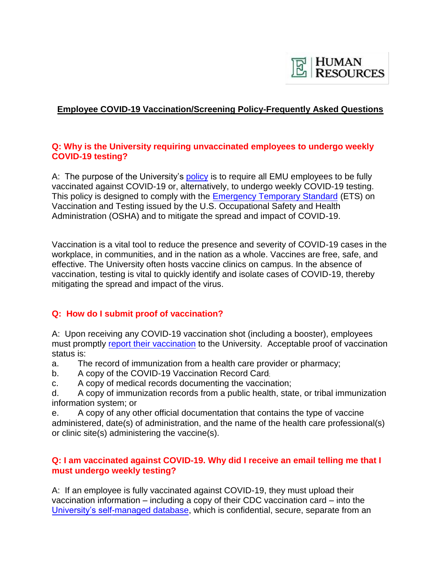

# **Employee COVID-19 Vaccination/Screening Policy-Frequently Asked Questions**

## **Q: Why is the University requiring unvaccinated employees to undergo weekly COVID-19 testing?**

A: The purpose of the University'[s policy](https://www.emich.edu/hr/documents/policies/pandemic-vaccination-policy-v1.pdf) is to require all EMU employees to be fully vaccinated against COVID-19 or, alternatively, to undergo weekly COVID-19 testing. This policy is designed to comply with the [Emergency Temporary Standard](https://www.osha.gov/coronavirus/ets2) (ETS) on Vaccination and Testing issued by the U.S. Occupational Safety and Health Administration (OSHA) and to mitigate the spread and impact of COVID-19.

Vaccination is a vital tool to reduce the presence and severity of COVID-19 cases in the workplace, in communities, and in the nation as a whole. Vaccines are free, safe, and effective. The University often hosts vaccine clinics on campus. In the absence of vaccination, testing is vital to quickly identify and isolate cases of COVID-19, thereby mitigating the spread and impact of the virus.

## **Q: How do I submit proof of vaccination?**

A: Upon receiving any COVID-19 vaccination shot (including a booster), employees must promptly [report their vaccination](https://www.emich.edu/emusafe/reporting.php) to the University. Acceptable proof of vaccination status is:

- a. The record of immunization from a health care provider or pharmacy;
- b. A copy of the COVID-19 Vaccination Record Card;
- c. A copy of medical records documenting the vaccination;

d. A copy of immunization records from a public health, state, or tribal immunization information system; or

e. A copy of any other official documentation that contains the type of vaccine administered, date(s) of administration, and the name of the health care professional(s) or clinic site(s) administering the vaccine(s).

### **Q: I am vaccinated against COVID-19. Why did I receive an email telling me that I must undergo weekly testing?**

A: If an employee is fully vaccinated against COVID-19, they must upload their vaccination information – including a copy of their CDC vaccination card – into the [University's self-managed database,](https://www.emich.edu/emusafe/reporting.php) which is confidential, secure, separate from an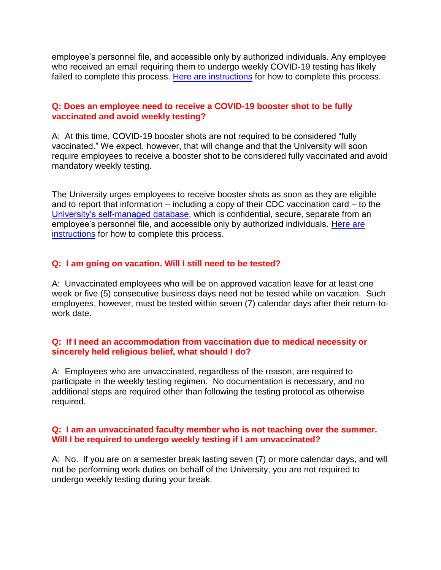employee's personnel file, and accessible only by authorized individuals. Any employee who received an email requiring them to undergo weekly COVID-19 testing has likely failed to complete this process. [Here are instructions](https://www.emich.edu/emusafe/documents/how-to-upload-a-vaccine-card.pdf?v=2021-11-05T15:19:59Z) for how to complete this process.

### **Q: Does an employee need to receive a COVID-19 booster shot to be fully vaccinated and avoid weekly testing?**

A: At this time, COVID-19 booster shots are not required to be considered "fully vaccinated." We expect, however, that will change and that the University will soon require employees to receive a booster shot to be considered fully vaccinated and avoid mandatory weekly testing.

The University urges employees to receive booster shots as soon as they are eligible and to report that information – including a copy of their CDC vaccination card – to the [University's self-managed database,](https://www.emich.edu/emusafe/reporting.php) which is confidential, secure, separate from an employee's personnel file, and accessible only by authorized individuals. [Here are](https://www.emich.edu/emusafe/documents/how-to-upload-a-vaccine-card.pdf?v=2021-11-05T15:19:59Z)  [instructions](https://www.emich.edu/emusafe/documents/how-to-upload-a-vaccine-card.pdf?v=2021-11-05T15:19:59Z) for how to complete this process.

### **Q: I am going on vacation. Will I still need to be tested?**

A: Unvaccinated employees who will be on approved vacation leave for at least one week or five (5) consecutive business days need not be tested while on vacation. Such employees, however, must be tested within seven (7) calendar days after their return-towork date.

#### **Q: If I need an accommodation from vaccination due to medical necessity or sincerely held religious belief, what should I do?**

A: Employees who are unvaccinated, regardless of the reason, are required to participate in the weekly testing regimen. No documentation is necessary, and no additional steps are required other than following the testing protocol as otherwise required.

#### **Q: I am an unvaccinated faculty member who is not teaching over the summer. Will I be required to undergo weekly testing if I am unvaccinated?**

A: No. If you are on a semester break lasting seven (7) or more calendar days, and will not be performing work duties on behalf of the University, you are not required to undergo weekly testing during your break.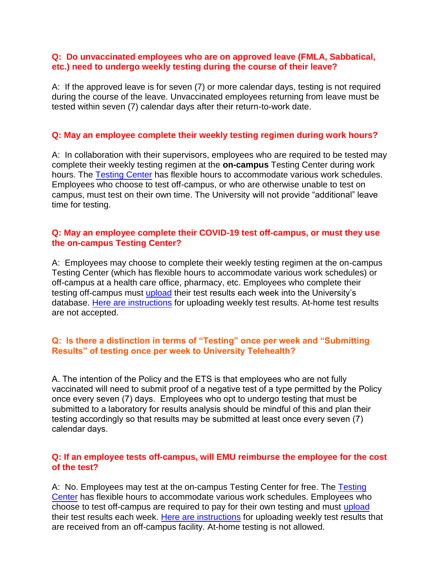#### **Q: Do unvaccinated employees who are on approved leave (FMLA, Sabbatical, etc.) need to undergo weekly testing during the course of their leave?**

A: If the approved leave is for seven (7) or more calendar days, testing is not required during the course of the leave. Unvaccinated employees returning from leave must be tested within seven (7) calendar days after their return-to-work date.

### **Q: May an employee complete their weekly testing regimen during work hours?**

A: In collaboration with their supervisors, employees who are required to be tested may complete their weekly testing regimen at the **on-campus** Testing Center during work hours. The [Testing Center](https://www.emich.edu/emusafe/testing/index.php) has flexible hours to accommodate various work schedules. Employees who choose to test off-campus, or who are otherwise unable to test on campus, must test on their own time. The University will not provide "additional" leave time for testing.

### **Q: May an employee complete their COVID-19 test off-campus, or must they use the on-campus Testing Center?**

A: Employees may choose to complete their weekly testing regimen at the on-campus Testing Center (which has flexible hours to accommodate various work schedules) or off-campus at a health care office, pharmacy, etc. Employees who complete their testing off-campus must [upload](https://www.emich.edu/emusafe/reporting.php) their test results each week into the University's database. [Here are instructions](https://www.emich.edu/emusafe/documents/how-to-upload-a-covid-test-results.pdf?v=2021-11-05T15:19:59Z) for uploading weekly test results. At-home test results are not accepted.

### **Q: Is there a distinction in terms of "Testing" once per week and "Submitting Results" of testing once per week to University Telehealth?**

A. [The](https://www.emich.edu/emusafe/testing/index.php) intention of the Policy and the ETS is that employees who are not fully vaccinated will need to submit proof of a negative test of a type permitted by [the Poli](https://www.emich.edu/emusafe/reporting.php)cy once every seven (7) days. Employees who opt to undergo testing that must be submitted to a laboratory for results analysis should be mindful of this and plan their testing accordingly so that results may be submitted at least once every seven (7) calendar days.

### **Q: If an employee tests off-campus, will EMU reimburse the employee for the cost of the test?**

A: No. Employees may test at the on-campus Testing Center for free. The Testing Center has flexible hours to accommodate various work schedules. Employees who choose to test off-campus are required to pay for their own testing and must upload their test results each week[. Here are instructions](https://www.emich.edu/emusafe/documents/how-to-upload-a-covid-test-results.pdf?v=2021-11-05T15:19:59Z) for uploading weekly test results that are received from an off-campus facility. At-home testing is not allowed.